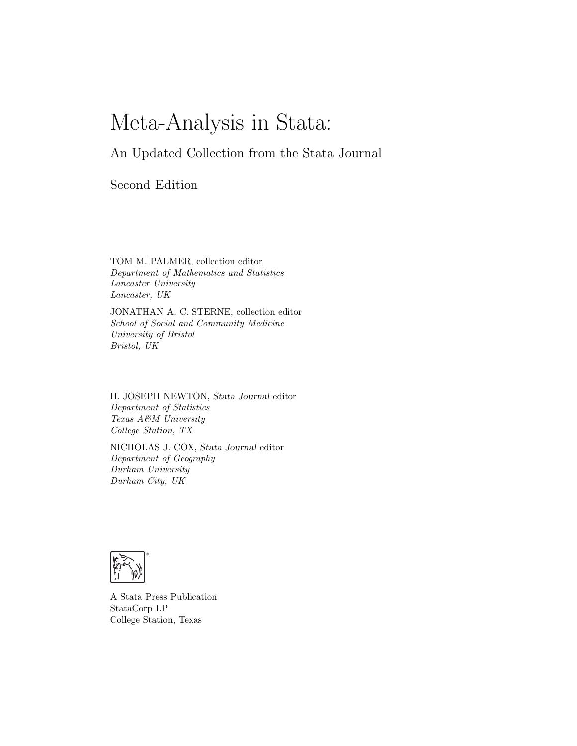# Meta-Analysis in Stata:

## An Updated Collection from the Stata Journal

Second Edition

TOM M. PALMER, collection editor Department of Mathematics and Statistics Lancaster University Lancaster, UK

JONATHAN A. C. STERNE, collection editor School of Social and Community Medicine University of Bristol Bristol, UK

H. JOSEPH NEWTON, Stata Journal editor Department of Statistics Texas A&M University College Station, TX

NICHOLAS J. COX, Stata Journal editor Department of Geography Durham University Durham City, UK



A Stata Press Publication StataCorp LP College Station, Texas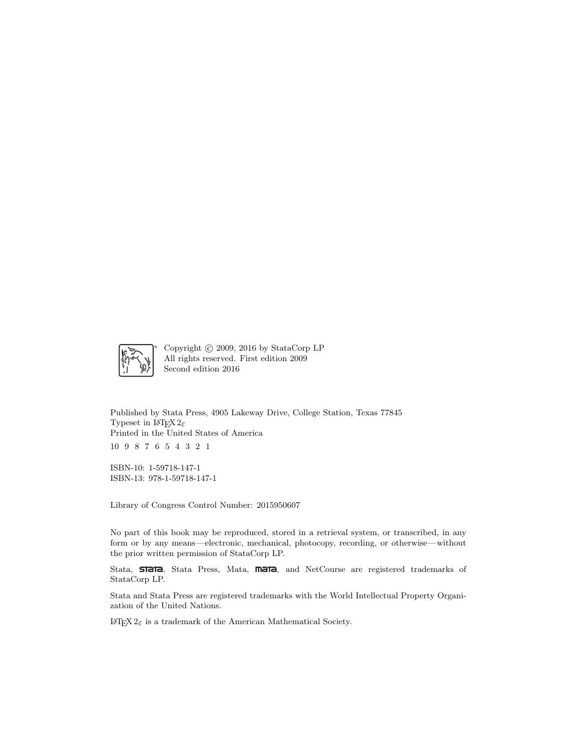

Copyright  $\odot$  2009, 2016 by StataCorp LP All rights reserved. First edition 2009 Second edition 2016

Published by Stata Press, 4905 Lakeway Drive, College Station, Texas 77845 Typeset in  $\mathbb{F}$ F<sub>E</sub>X  $2\varepsilon$ Printed in the United States of America 10 9 8 7 6 5 4 3 2 1

ISBN-10: 1-59718-147-1 ISBN-13: 978-1-59718-147-1

Library of Congress Control Number: 2015950607

No part of this book may be reproduced, stored in a retrieval system, or transcribed, in any form or by any means—electronic, mechanical, photocopy, recording, or otherwise—without the prior written permission of StataCorp LP.

Stata, **STaTa**, Stata Press, Mata, **mata**, and NetCourse are registered trademarks of StataCorp LP.

Stata and Stata Press are registered trademarks with the World Intellectual Property Organization of the United Nations.

 $\mathbb{F}\to \mathbb{F}$ 2 $\varepsilon$  is a trademark of the American Mathematical Society.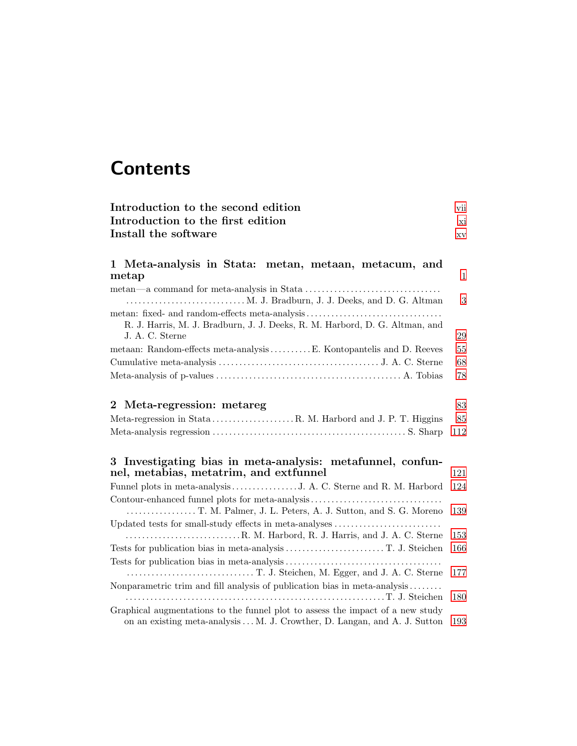## **Contents**

| Introduction to the first edition                                                                                                                           | xi           |
|-------------------------------------------------------------------------------------------------------------------------------------------------------------|--------------|
| Install the software                                                                                                                                        | XV           |
|                                                                                                                                                             |              |
| Meta-analysis in Stata: metan, metaan, metacum, and<br>$\mathbf{1}$                                                                                         |              |
| metap                                                                                                                                                       | $\mathbf{1}$ |
|                                                                                                                                                             | 3            |
|                                                                                                                                                             |              |
| R. J. Harris, M. J. Bradburn, J. J. Deeks, R. M. Harbord, D. G. Altman, and<br>J. A. C. Sterne                                                              | 29           |
| metaan: Random-effects meta-analysisE. Kontopantelis and D. Reeves                                                                                          | 55           |
|                                                                                                                                                             | 68           |
|                                                                                                                                                             | 78           |
|                                                                                                                                                             |              |
| Meta-regression: metareg<br>$2^{\circ}$                                                                                                                     | 83           |
| Meta-regression in StataR. M. Harbord and J. P. T. Higgins                                                                                                  | 85           |
|                                                                                                                                                             | 112          |
|                                                                                                                                                             |              |
| 3 Investigating bias in meta-analysis: metafunnel, confun-<br>nel, metabias, metatrim, and extfunnel                                                        | 121          |
|                                                                                                                                                             | 124          |
| Contour-enhanced funnel plots for meta-analysis                                                                                                             |              |
|                                                                                                                                                             | 139          |
| Updated tests for small-study effects in meta-analyses                                                                                                      |              |
| R. M. Harbord, R. J. Harris, and J. A. C. Sterne                                                                                                            | 153          |
|                                                                                                                                                             | 166          |
|                                                                                                                                                             |              |
|                                                                                                                                                             | 177          |
| Nonparametric trim and fill analysis of publication bias in meta-analysis                                                                                   | 180          |
| Graphical augmentations to the funnel plot to assess the impact of a new study<br>on an existing meta-analysis  M. J. Crowther, D. Langan, and A. J. Sutton | 193          |

**Introduction to the second edition** vii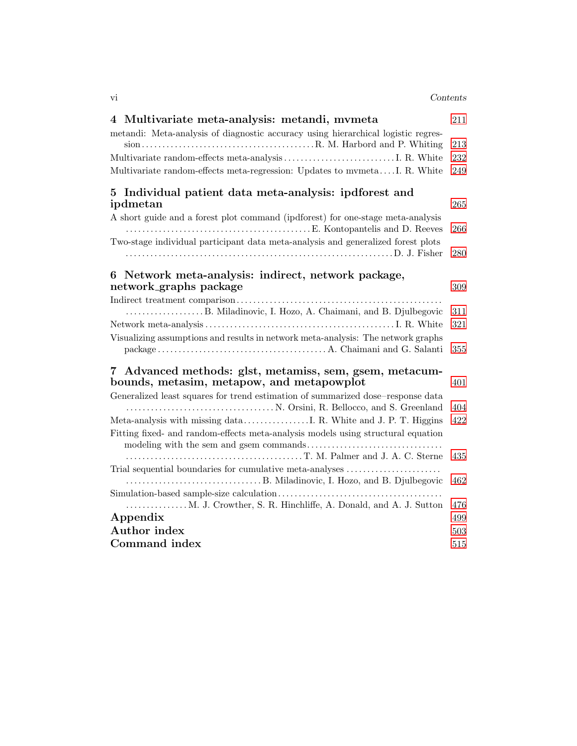| V1 | Contents |
|----|----------|

| 4 Multivariate meta-analysis: metandi, mymeta<br>metandi: Meta-analysis of diagnostic accuracy using hierarchical logistic regres- | 211 |
|------------------------------------------------------------------------------------------------------------------------------------|-----|
|                                                                                                                                    | 213 |
|                                                                                                                                    | 232 |
| Multivariate random-effects meta-regression: Updates to mymetaI. R. White                                                          | 249 |
| Individual patient data meta-analysis: ipdforest and<br>5.                                                                         |     |
| ipdmetan                                                                                                                           | 265 |
| A short guide and a forest plot command (ipdforest) for one-stage meta-analysis                                                    | 266 |
| Two-stage individual participant data meta-analysis and generalized forest plots                                                   | 280 |
| Network meta-analysis: indirect, network package,<br>6                                                                             |     |
| network_graphs package                                                                                                             | 309 |
|                                                                                                                                    |     |
| B. Miladinovic, I. Hozo, A. Chaimani, and B. Djulbegovic                                                                           | 311 |
|                                                                                                                                    | 321 |
| Visualizing assumptions and results in network meta-analysis: The network graphs                                                   |     |
|                                                                                                                                    | 355 |
| 7                                                                                                                                  |     |
| Advanced methods: glst, metamiss, sem, gsem, metacum-<br>bounds, metasim, metapow, and metapowplot                                 | 401 |
| Generalized least squares for trend estimation of summarized dose-response data                                                    |     |
|                                                                                                                                    | 404 |
|                                                                                                                                    | 422 |
| Fitting fixed- and random-effects meta-analysis models using structural equation                                                   |     |
|                                                                                                                                    | 435 |
|                                                                                                                                    |     |
| Trial sequential boundaries for cumulative meta-analyses                                                                           | 462 |
|                                                                                                                                    |     |
| M. J. Crowther, S. R. Hinchliffe, A. Donald, and A. J. Sutton                                                                      | 476 |
| Appendix                                                                                                                           | 499 |
| <b>Author index</b>                                                                                                                | 503 |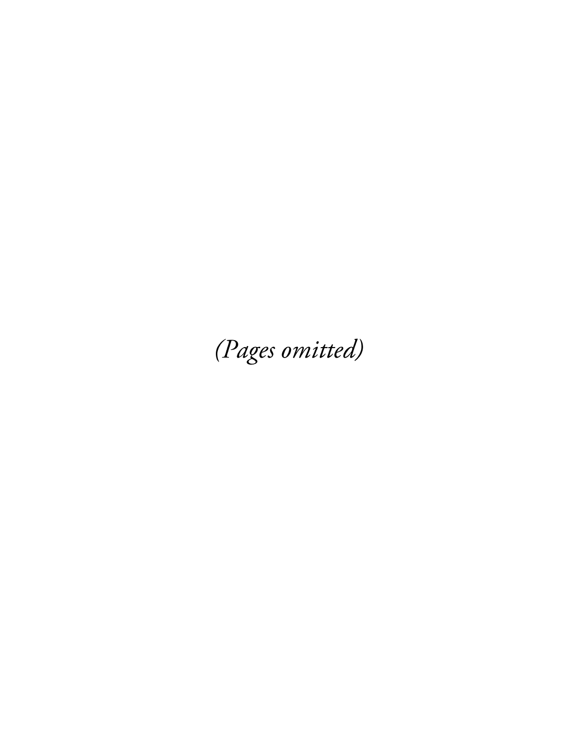(Pages omitted)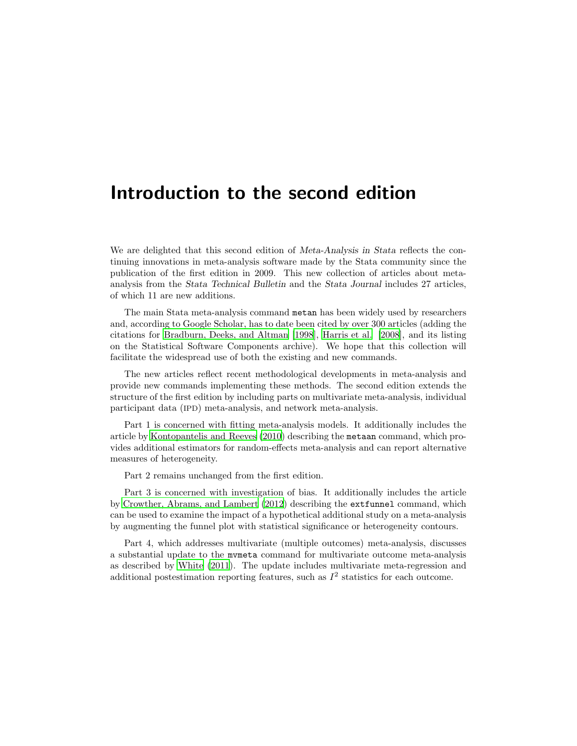## Introduction to the second edition

We are delighted that this second edition of Meta-Analysis in Stata reflects the continuing innovations in meta-analysis software made by the Stata community since the publication of the first edition in 2009. This new collection of articles about metaanalysis from the Stata Technical Bulletin and the Stata Journal includes 27 articles, of which 11 are new additions.

The main Stata meta-analysis command metan has been widely used by researchers and, according to Google Scholar, has to date been cited by over 300 articles (adding the citations for Bradburn, Deeks, and Altman [1998], Harris et al. [2008], and its listing on the Statistical Software Components archive). We hope that this collection will facilitate the widespread use of both the existing and new commands.

The new articles reflect recent methodological developments in meta-analysis and provide new commands implementing these methods. The second edition extends the structure of the first edition by including parts on multivariate meta-analysis, individual participant data (IPD) meta-analysis, and network meta-analysis.

Part 1 is concerned with fitting meta-analysis models. It additionally includes the article by Kontopantelis and Reeves (2010) describing the metaan command, which provides additional estimators for random-effects meta-analysis and can report alternative measures of heterogeneity.

Part 2 remains unchanged from the first edition.

Part 3 is concerned with investigation of bias. It additionally includes the article by Crowther, Abrams, and Lambert (2012) describing the extfunnel command, which can be used to examine the impact of a hypothetical additional study on a meta-analysis by augmenting the funnel plot with statistical significance or heterogeneity contours.

Part 4, which addresses multivariate (multiple outcomes) meta-analysis, discusses a substantial update to the mvmeta command for multivariate outcome meta-analysis as described by White (2011). The update includes multivariate meta-regression and additional postestimation reporting features, such as  $I<sup>2</sup>$  statistics for each outcome.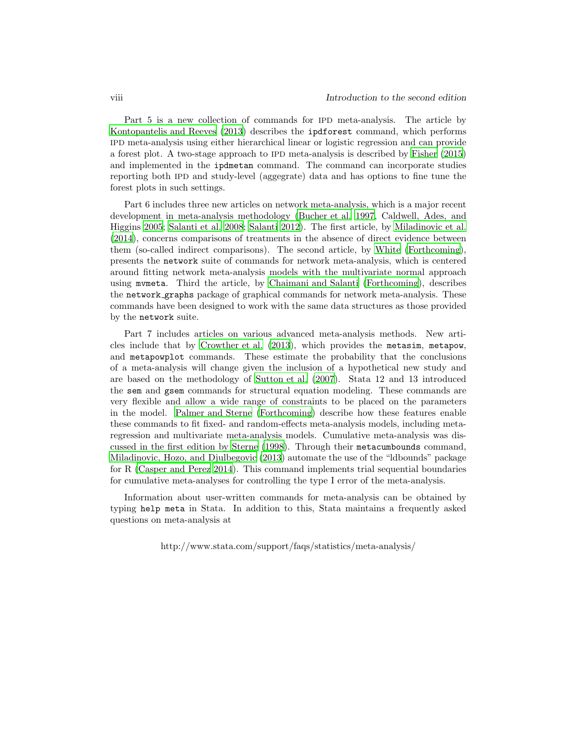Part 5 is a new collection of commands for IPD meta-analysis. The article by Kontopantelis and Reeves (2013) describes the ipdforest command, which performs IPD meta-analysis using either hierarchical linear or logistic regression and can provide a forest plot. A two-stage approach to IPD meta-analysis is described by Fisher (2015) and implemented in the ipdmetan command. The command can incorporate studies reporting both IPD and study-level (aggegrate) data and has options to fine tune the forest plots in such settings.

Part 6 includes three new articles on network meta-analysis, which is a major recent development in meta-analysis methodology (Bucher et al. 1997, Caldwell, Ades, and Higgins 2005; Salanti et al. 2008; Salanti 2012). The first article, by Miladinovic et al. (2014), concerns comparisons of treatments in the absence of direct evidence between them (so-called indirect comparisons). The second article, by White (Forthcoming), presents the network suite of commands for network meta-analysis, which is centered around fitting network meta-analysis models with the multivariate normal approach using mvmeta. Third the article, by Chaimani and Salanti (Forthcoming), describes the network graphs package of graphical commands for network meta-analysis. These commands have been designed to work with the same data structures as those provided by the network suite.

Part 7 includes articles on various advanced meta-analysis methods. New articles include that by Crowther et al. (2013), which provides the metasim, metapow, and metapowplot commands. These estimate the probability that the conclusions of a meta-analysis will change given the inclusion of a hypothetical new study and are based on the methodology of Sutton et al. (2007). Stata 12 and 13 introduced the sem and gsem commands for structural equation modeling. These commands are very flexible and allow a wide range of constraints to be placed on the parameters in the model. Palmer and Sterne (Forthcoming) describe how these features enable these commands to fit fixed- and random-effects meta-analysis models, including metaregression and multivariate meta-analysis models. Cumulative meta-analysis was discussed in the first edition by Sterne (1998). Through their metacumbounds command, Miladinovic, Hozo, and Djulbegovic (2013) automate the use of the "ldbounds" package for R (Casper and Perez 2014). This command implements trial sequential boundaries for cumulative meta-analyses for controlling the type I error of the meta-analysis.

Information about user-written commands for meta-analysis can be obtained by typing help meta in Stata. In addition to this, Stata maintains a frequently asked questions on meta-analysis at

http://www.stata.com/support/faqs/statistics/meta-analysis/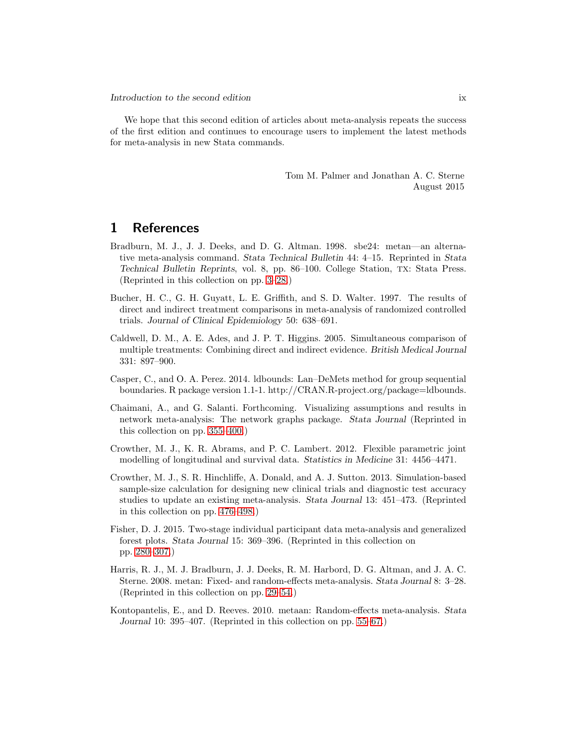We hope that this second edition of articles about meta-analysis repeats the success of the first edition and continues to encourage users to implement the latest methods for meta-analysis in new Stata commands.

> Tom M. Palmer and Jonathan A. C. Sterne August 2015

#### 1 References

- Bradburn, M. J., J. J. Deeks, and D. G. Altman. 1998. sbe24: metan—an alternative meta-analysis command. Stata Technical Bulletin 44: 4–15. Reprinted in Stata Technical Bulletin Reprints, vol. 8, pp. 86–100. College Station, TX: Stata Press. (Reprinted in this collection on pp. 3–28.)
- Bucher, H. C., G. H. Guyatt, L. E. Griffith, and S. D. Walter. 1997. The results of direct and indirect treatment comparisons in meta-analysis of randomized controlled trials. Journal of Clinical Epidemiology 50: 638–691.
- Caldwell, D. M., A. E. Ades, and J. P. T. Higgins. 2005. Simultaneous comparison of multiple treatments: Combining direct and indirect evidence. British Medical Journal 331: 897–900.
- Casper, C., and O. A. Perez. 2014. ldbounds: Lan–DeMets method for group sequential boundaries. R package version 1.1-1. http://CRAN.R-project.org/package=ldbounds.
- Chaimani, A., and G. Salanti. Forthcoming. Visualizing assumptions and results in network meta-analysis: The network graphs package. Stata Journal (Reprinted in this collection on pp. 355–400.)
- Crowther, M. J., K. R. Abrams, and P. C. Lambert. 2012. Flexible parametric joint modelling of longitudinal and survival data. Statistics in Medicine 31: 4456–4471.
- Crowther, M. J., S. R. Hinchliffe, A. Donald, and A. J. Sutton. 2013. Simulation-based sample-size calculation for designing new clinical trials and diagnostic test accuracy studies to update an existing meta-analysis. Stata Journal 13: 451–473. (Reprinted in this collection on pp. 476–498.)
- Fisher, D. J. 2015. Two-stage individual participant data meta-analysis and generalized forest plots. Stata Journal 15: 369–396. (Reprinted in this collection on pp. 280–307.)
- Harris, R. J., M. J. Bradburn, J. J. Deeks, R. M. Harbord, D. G. Altman, and J. A. C. Sterne. 2008. metan: Fixed- and random-effects meta-analysis. Stata Journal 8: 3–28. (Reprinted in this collection on pp. 29–54.)
- Kontopantelis, E., and D. Reeves. 2010. metaan: Random-effects meta-analysis. Stata Journal 10: 395–407. (Reprinted in this collection on pp. 55–67.)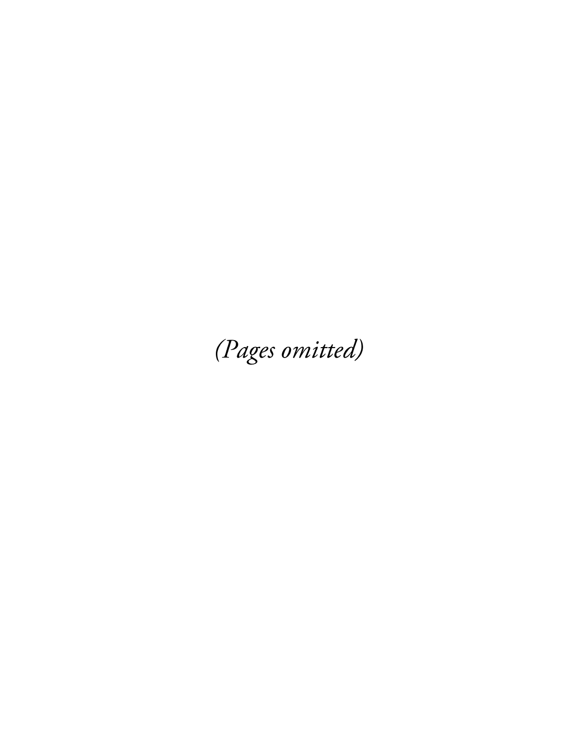(Pages omitted)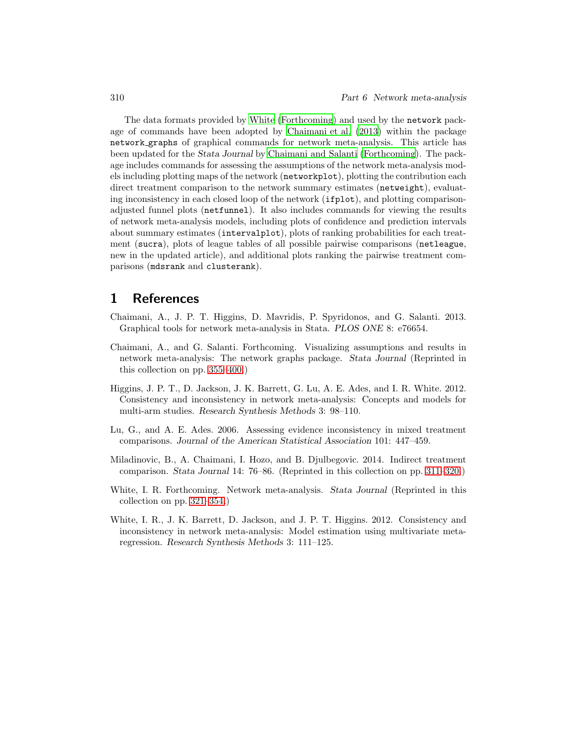The data formats provided by White (Forthcoming) and used by the network package of commands have been adopted by Chaimani et al. (2013) within the package network graphs of graphical commands for network meta-analysis. This article has been updated for the Stata Journal by Chaimani and Salanti (Forthcoming). The package includes commands for assessing the assumptions of the network meta-analysis models including plotting maps of the network (networkplot), plotting the contribution each direct treatment comparison to the network summary estimates (netweight), evaluating inconsistency in each closed loop of the network (ifplot), and plotting comparisonadjusted funnel plots (netfunnel). It also includes commands for viewing the results of network meta-analysis models, including plots of confidence and prediction intervals about summary estimates (intervalplot), plots of ranking probabilities for each treatment (sucra), plots of league tables of all possible pairwise comparisons (netleague, new in the updated article), and additional plots ranking the pairwise treatment comparisons (mdsrank and clusterank).

#### 1 References

- Chaimani, A., J. P. T. Higgins, D. Mavridis, P. Spyridonos, and G. Salanti. 2013. Graphical tools for network meta-analysis in Stata. PLOS ONE 8: e76654.
- Chaimani, A., and G. Salanti. Forthcoming. Visualizing assumptions and results in network meta-analysis: The network graphs package. Stata Journal (Reprinted in this collection on pp. 355–400.)
- Higgins, J. P. T., D. Jackson, J. K. Barrett, G. Lu, A. E. Ades, and I. R. White. 2012. Consistency and inconsistency in network meta-analysis: Concepts and models for multi-arm studies. Research Synthesis Methods 3: 98–110.
- Lu, G., and A. E. Ades. 2006. Assessing evidence inconsistency in mixed treatment comparisons. Journal of the American Statistical Association 101: 447–459.
- Miladinovic, B., A. Chaimani, I. Hozo, and B. Djulbegovic. 2014. Indirect treatment comparison. Stata Journal 14: 76–86. (Reprinted in this collection on pp. 311–320.)
- White, I. R. Forthcoming. Network meta-analysis. Stata Journal (Reprinted in this collection on pp. 321–354.)
- White, I. R., J. K. Barrett, D. Jackson, and J. P. T. Higgins. 2012. Consistency and inconsistency in network meta-analysis: Model estimation using multivariate metaregression. Research Synthesis Methods 3: 111–125.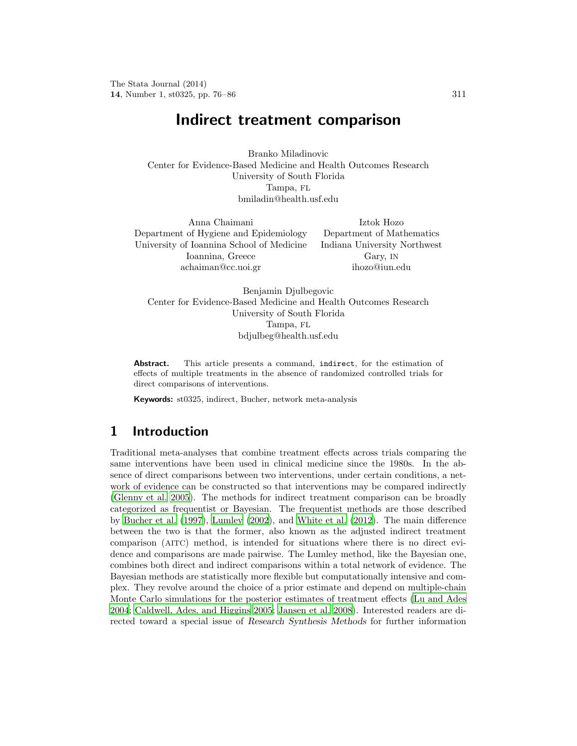## Indirect treatment comparison

Branko Miladinovic Center for Evidence-Based Medicine and Health Outcomes Research University of South Florida Tampa, FL bmiladin@health.usf.edu

Anna Chaimani Department of Hygiene and Epidemiology University of Ioannina School of Medicine Ioannina, Greece achaiman@cc.uoi.gr Iztok Hozo Department of Mathematics Indiana University Northwest Gary, IN ihozo@iun.edu

Benjamin Djulbegovic Center for Evidence-Based Medicine and Health Outcomes Research University of South Florida Tampa, FL bdjulbeg@health.usf.edu

Abstract. This article presents a command, indirect, for the estimation of effects of multiple treatments in the absence of randomized controlled trials for direct comparisons of interventions.

Keywords: st0325, indirect, Bucher, network meta-analysis

#### 1 Introduction

Traditional meta-analyses that combine treatment effects across trials comparing the same interventions have been used in clinical medicine since the 1980s. In the absence of direct comparisons between two interventions, under certain conditions, a network of evidence can be constructed so that interventions may be compared indirectly (Glenny et al. 2005). The methods for indirect treatment comparison can be broadly categorized as frequentist or Bayesian. The frequentist methods are those described by Bucher et al. (1997), Lumley (2002), and White et al. (2012). The main difference between the two is that the former, also known as the adjusted indirect treatment comparison (AITC) method, is intended for situations where there is no direct evidence and comparisons are made pairwise. The Lumley method, like the Bayesian one, combines both direct and indirect comparisons within a total network of evidence. The Bayesian methods are statistically more flexible but computationally intensive and complex. They revolve around the choice of a prior estimate and depend on multiple-chain Monte Carlo simulations for the posterior estimates of treatment effects (Lu and Ades 2004; Caldwell, Ades, and Higgins 2005; Jansen et al. 2008). Interested readers are directed toward a special issue of Research Synthesis Methods for further information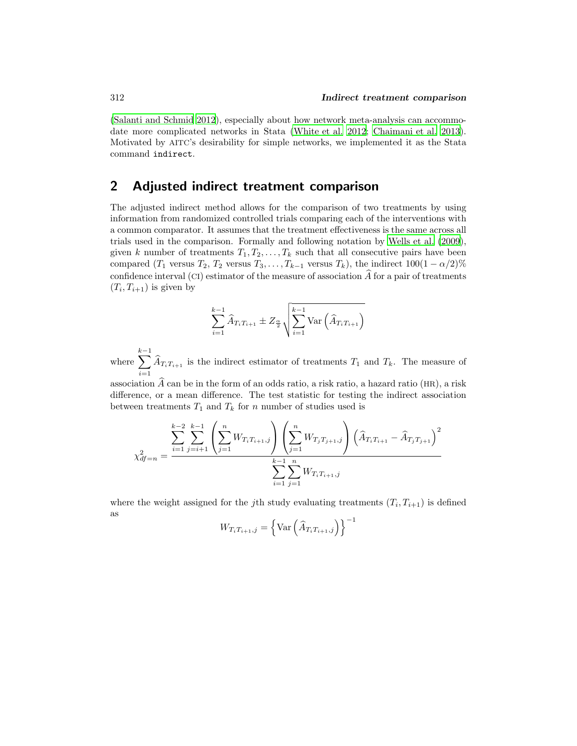(Salanti and Schmid 2012), especially about how network meta-analysis can accommodate more complicated networks in Stata (White et al. 2012; Chaimani et al. 2013). Motivated by AITC's desirability for simple networks, we implemented it as the Stata command indirect.

#### 2 Adjusted indirect treatment comparison

The adjusted indirect method allows for the comparison of two treatments by using information from randomized controlled trials comparing each of the interventions with a common comparator. It assumes that the treatment effectiveness is the same across all trials used in the comparison. Formally and following notation by Wells et al. (2009), given k number of treatments  $T_1, T_2, \ldots, T_k$  such that all consecutive pairs have been compared (T<sub>1</sub> versus T<sub>2</sub>, T<sub>2</sub> versus T<sub>3</sub>, ..., T<sub>k−1</sub> versus T<sub>k</sub>), the indirect  $100(1 - \alpha/2)\%$ confidence interval (CI) estimator of the measure of association  $\hat{A}$  for a pair of treatments  $(T_i, T_{i+1})$  is given by

$$
\sum_{i=1}^{k-1} \widehat{A}_{T_i T_{i+1}} \pm Z_{\frac{\alpha}{2}} \sqrt{\sum_{i=1}^{k-1} \text{Var}\left(\widehat{A}_{T_i T_{i+1}}\right)}
$$

where  $\sum$  $i=1$  $A_{T_i,T_{i+1}}$  is the indirect estimator of treatments  $T_1$  and  $T_k$ . The measure of

association  $\hat{A}$  can be in the form of an odds ratio, a risk ratio, a hazard ratio (HR), a risk difference, or a mean difference. The test statistic for testing the indirect association between treatments  $T_1$  and  $T_k$  for n number of studies used is

$$
\chi_{df=n}^{2} = \frac{\sum_{i=1}^{k-2} \sum_{j=i+1}^{k-1} \left( \sum_{j=1}^{n} W_{T_i T_{i+1},j} \right) \left( \sum_{j=1}^{n} W_{T_j T_{j+1},j} \right) \left( \widehat{A}_{T_i T_{i+1}} - \widehat{A}_{T_j T_{j+1}} \right)^{2}}{\sum_{i=1}^{k-1} \sum_{j=1}^{n} W_{T_i T_{i+1},j}}
$$

where the weight assigned for the jth study evaluating treatments  $(T_i, T_{i+1})$  is defined as

$$
W_{T_i T_{i+1},j} = \left\{ \text{Var}\left(\widehat{A}_{T_i T_{i+1},j}\right) \right\}^{-1}
$$